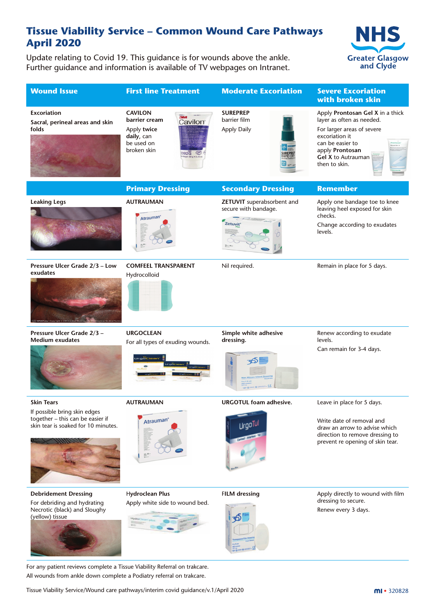#### **Tissue Viability Service – Common Wound Care Pathways April 2020**

Update relating to Covid 19. This guidance is for wounds above the ankle. Further guidance and information is available of TV webpages on Intranet.





For any patient reviews complete a Tissue Viability Referral on trakcare. All wounds from ankle down complete a Podiatry referral on trakcare.